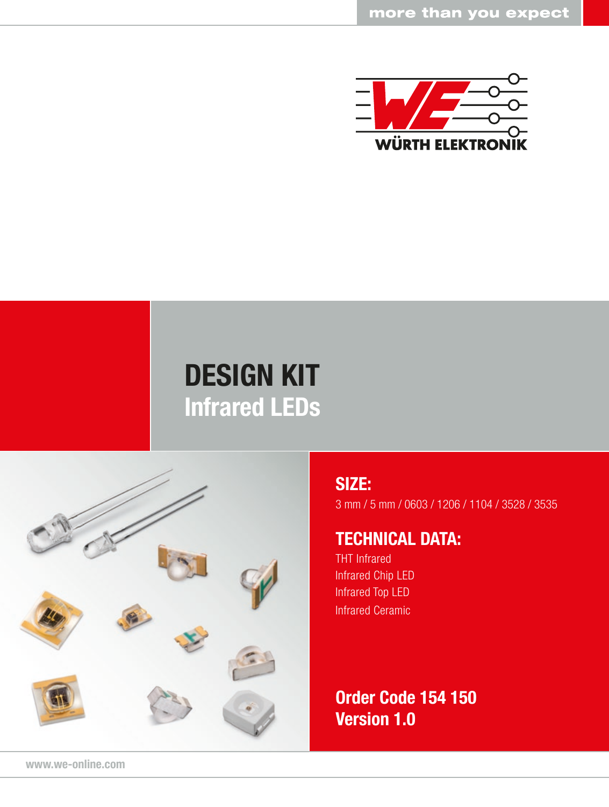

# DESIGN KIT Infrared LEDs



### SIZE:

3 mm / 5 mm / 0603 / 1206 / 1104 / 3528 / 3535

### TECHNICAL DATA:

THT Infrared Infrared Chip LED Infrared Top LED Infrared Ceramic

Order Code 154 150 Version 1.0

www.we-online.com